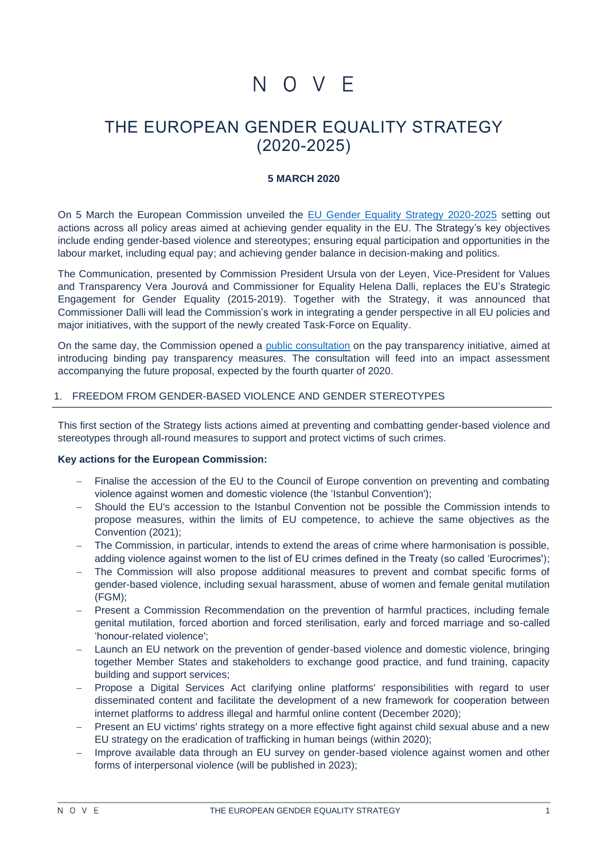# N O V F

# THE EUROPEAN GENDER EQUALITY STRATEGY (2020-2025)

### **5 MARCH 2020**

On 5 March the European Commission unveiled the EU [Gender Equality Strategy 2020-2025](https://ec.europa.eu/info/policies/justice-and-fundamental-rights/gender-equality/gender-equality-strategy_en) setting out actions across all policy areas aimed at achieving gender equality in the EU. The Strategy's key objectives include ending gender-based violence and stereotypes; ensuring equal participation and opportunities in the labour market, including equal pay; and achieving gender balance in decision-making and politics.

The Communication, presented by Commission President Ursula von der Leyen, Vice-President for Values and Transparency Vera Jourová and Commissioner for Equality Helena Dalli, replaces the EU's Strategic Engagement for Gender Equality (2015-2019). Together with the Strategy, it was announced that Commissioner Dalli will lead the Commission's work in integrating a gender perspective in all EU policies and major initiatives, with the support of the newly created Task-Force on Equality.

On the same day, the Commission opened a [public consultation](https://ec.europa.eu/info/law/better-regulation/have-your-say/initiatives/12098-Strengthening-the-principle-of-equal-pay-between-men-and-women-through-pay-transparency) on the pay transparency initiative, aimed at introducing binding pay transparency measures. The consultation will feed into an impact assessment accompanying the future proposal, expected by the fourth quarter of 2020.

#### 1. FREEDOM FROM GENDER-BASED VIOLENCE AND GENDER STEREOTYPES

This first section of the Strategy lists actions aimed at preventing and combatting gender-based violence and stereotypes through all-round measures to support and protect victims of such crimes.

#### **Key actions for the European Commission:**

- Finalise the accession of the EU to the Council of Europe convention on preventing and combating violence against women and domestic violence (the 'Istanbul Convention');
- − Should the EU's accession to the Istanbul Convention not be possible the Commission intends to propose measures, within the limits of EU competence, to achieve the same objectives as the Convention (2021);
- − The Commission, in particular, intends to extend the areas of crime where harmonisation is possible, adding violence against women to the list of EU crimes defined in the Treaty (so called 'Eurocrimes');
- The Commission will also propose additional measures to prevent and combat specific forms of gender-based violence, including sexual harassment, abuse of women and female genital mutilation (FGM);
- Present a Commission Recommendation on the prevention of harmful practices, including female genital mutilation, forced abortion and forced sterilisation, early and forced marriage and so-called 'honour-related violence';
- Launch an EU network on the prevention of gender-based violence and domestic violence, bringing together Member States and stakeholders to exchange good practice, and fund training, capacity building and support services;
- Propose a Digital Services Act clarifying online platforms' responsibilities with regard to user disseminated content and facilitate the development of a new framework for cooperation between internet platforms to address illegal and harmful online content (December 2020);
- Present an EU victims' rights strategy on a more effective fight against child sexual abuse and a new EU strategy on the eradication of trafficking in human beings (within 2020);
- Improve available data through an EU survey on gender-based violence against women and other forms of interpersonal violence (will be published in 2023);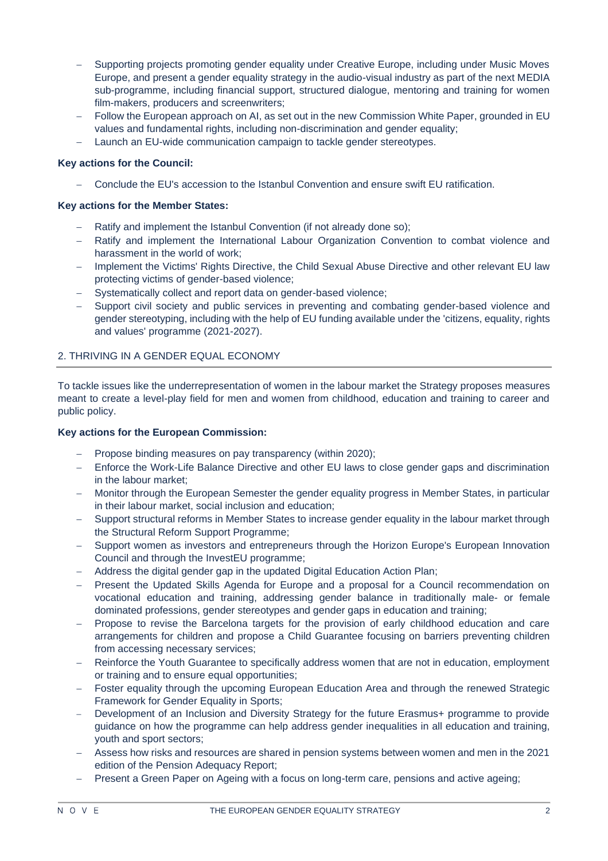- − Supporting projects promoting gender equality under Creative Europe, including under Music Moves Europe, and present a gender equality strategy in the audio-visual industry as part of the next MEDIA sub-programme, including financial support, structured dialogue, mentoring and training for women film-makers, producers and screenwriters;
- Follow the European approach on AI, as set out in the new Commission White Paper, grounded in EU values and fundamental rights, including non-discrimination and gender equality;
- Launch an EU-wide communication campaign to tackle gender stereotypes.

#### **Key actions for the Council:**

− Conclude the EU's accession to the Istanbul Convention and ensure swift EU ratification.

# **Key actions for the Member States:**

- Ratify and implement the Istanbul Convention (if not already done so);
- Ratify and implement the International Labour Organization Convention to combat violence and harassment in the world of work;
- − Implement the Victims' Rights Directive, the Child Sexual Abuse Directive and other relevant EU law protecting victims of gender-based violence;
- − Systematically collect and report data on gender-based violence;
- Support civil society and public services in preventing and combating gender-based violence and gender stereotyping, including with the help of EU funding available under the 'citizens, equality, rights and values' programme (2021-2027).

# 2. THRIVING IN A GENDER EQUAL ECONOMY

To tackle issues like the underrepresentation of women in the labour market the Strategy proposes measures meant to create a level-play field for men and women from childhood, education and training to career and public policy.

# **Key actions for the European Commission:**

- Propose binding measures on pay transparency (within 2020);
- − Enforce the Work-Life Balance Directive and other EU laws to close gender gaps and discrimination in the labour market;
- − Monitor through the European Semester the gender equality progress in Member States, in particular in their labour market, social inclusion and education;
- − Support structural reforms in Member States to increase gender equality in the labour market through the Structural Reform Support Programme;
- Support women as investors and entrepreneurs through the Horizon Europe's European Innovation Council and through the InvestEU programme;
- − Address the digital gender gap in the updated Digital Education Action Plan;
- Present the Updated Skills Agenda for Europe and a proposal for a Council recommendation on vocational education and training, addressing gender balance in traditionally male- or female dominated professions, gender stereotypes and gender gaps in education and training;
- − Propose to revise the Barcelona targets for the provision of early childhood education and care arrangements for children and propose a Child Guarantee focusing on barriers preventing children from accessing necessary services;
- Reinforce the Youth Guarantee to specifically address women that are not in education, employment or training and to ensure equal opportunities;
- Foster equality through the upcoming European Education Area and through the renewed Strategic Framework for Gender Equality in Sports;
- Development of an Inclusion and Diversity Strategy for the future Erasmus+ programme to provide guidance on how the programme can help address gender inequalities in all education and training, youth and sport sectors;
- − Assess how risks and resources are shared in pension systems between women and men in the 2021 edition of the Pension Adequacy Report;
- − Present a Green Paper on Ageing with a focus on long-term care, pensions and active ageing;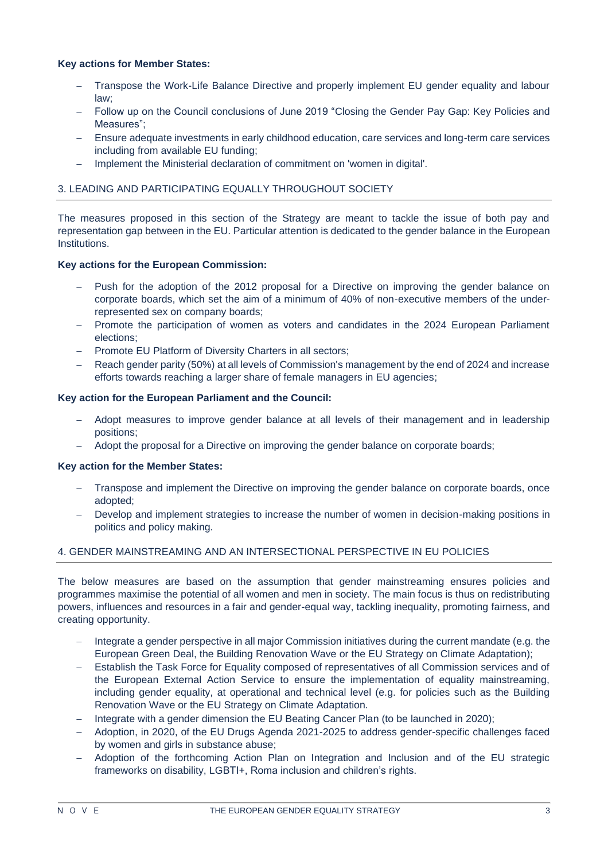## **Key actions for Member States:**

- − Transpose the Work-Life Balance Directive and properly implement EU gender equality and labour law;
- Follow up on the Council conclusions of June 2019 "Closing the Gender Pay Gap: Key Policies and Measures";
- Ensure adequate investments in early childhood education, care services and long-term care services including from available EU funding;
- − Implement the Ministerial declaration of commitment on 'women in digital'.

#### 3. LEADING AND PARTICIPATING EQUALLY THROUGHOUT SOCIETY

The measures proposed in this section of the Strategy are meant to tackle the issue of both pay and representation gap between in the EU. Particular attention is dedicated to the gender balance in the European Institutions.

#### **Key actions for the European Commission:**

- Push for the adoption of the 2012 proposal for a Directive on improving the gender balance on corporate boards, which set the aim of a minimum of 40% of non-executive members of the underrepresented sex on company boards;
- − Promote the participation of women as voters and candidates in the 2024 European Parliament elections;
- − Promote EU Platform of Diversity Charters in all sectors;
- − Reach gender parity (50%) at all levels of Commission's management by the end of 2024 and increase efforts towards reaching a larger share of female managers in EU agencies;

#### **Key action for the European Parliament and the Council:**

- Adopt measures to improve gender balance at all levels of their management and in leadership positions;
- − Adopt the proposal for a Directive on improving the gender balance on corporate boards;

#### **Key action for the Member States:**

- − Transpose and implement the Directive on improving the gender balance on corporate boards, once adopted;
- Develop and implement strategies to increase the number of women in decision-making positions in politics and policy making.

#### 4. GENDER MAINSTREAMING AND AN INTERSECTIONAL PERSPECTIVE IN EU POLICIES

The below measures are based on the assumption that gender mainstreaming ensures policies and programmes maximise the potential of all women and men in society. The main focus is thus on redistributing powers, influences and resources in a fair and gender-equal way, tackling inequality, promoting fairness, and creating opportunity.

- − Integrate a gender perspective in all major Commission initiatives during the current mandate (e.g. the European Green Deal, the Building Renovation Wave or the EU Strategy on Climate Adaptation);
- − Establish the Task Force for Equality composed of representatives of all Commission services and of the European External Action Service to ensure the implementation of equality mainstreaming, including gender equality, at operational and technical level (e.g. for policies such as the Building Renovation Wave or the EU Strategy on Climate Adaptation.
- − Integrate with a gender dimension the EU Beating Cancer Plan (to be launched in 2020);
- − Adoption, in 2020, of the EU Drugs Agenda 2021-2025 to address gender-specific challenges faced by women and girls in substance abuse;
- − Adoption of the forthcoming Action Plan on Integration and Inclusion and of the EU strategic frameworks on disability, LGBTI+, Roma inclusion and children's rights.